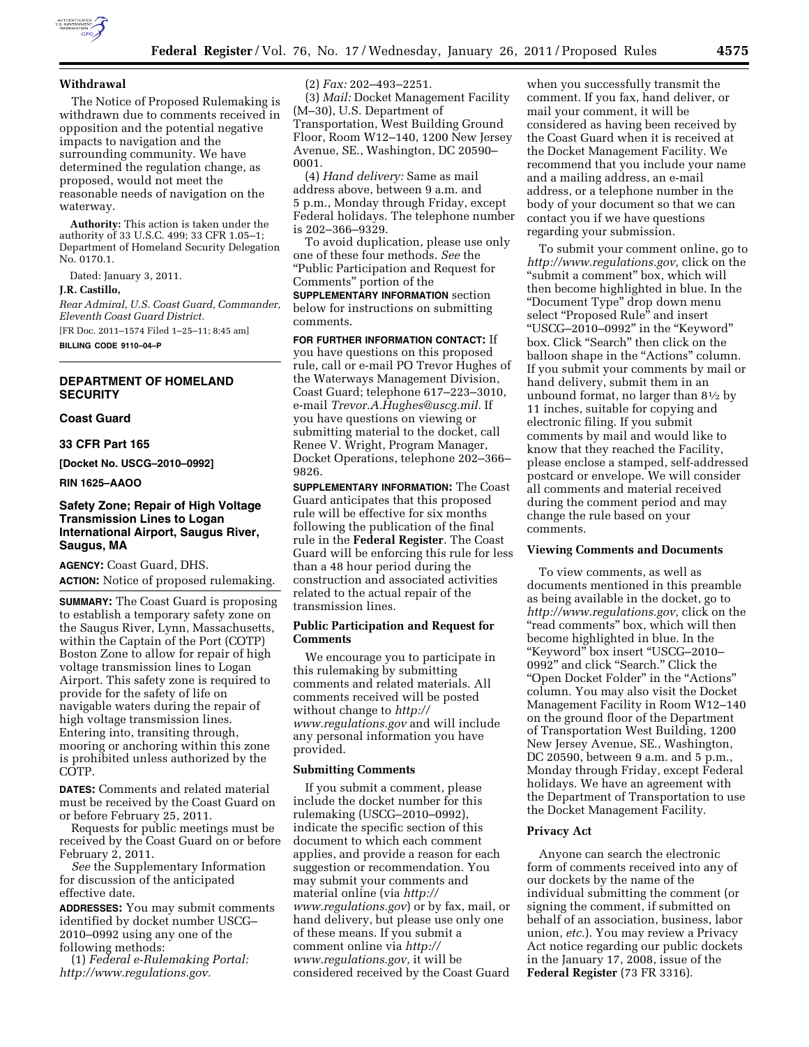

### **Withdrawal**

The Notice of Proposed Rulemaking is withdrawn due to comments received in opposition and the potential negative impacts to navigation and the surrounding community. We have determined the regulation change, as proposed, would not meet the reasonable needs of navigation on the waterway.

**Authority:** This action is taken under the authority of 33 U.S.C. 499; 33 CFR 1.05–1; Department of Homeland Security Delegation No. 0170.1.

Dated: January 3, 2011.

### **J.R. Castillo,**

*Rear Admiral, U.S. Coast Guard, Commander, Eleventh Coast Guard District.* 

[FR Doc. 2011–1574 Filed 1–25–11; 8:45 am] **BILLING CODE 9110–04–P** 

**DEPARTMENT OF HOMELAND SECURITY** 

#### **Coast Guard**

### **33 CFR Part 165**

**[Docket No. USCG–2010–0992]** 

**RIN 1625–AAOO** 

## **Safety Zone; Repair of High Voltage Transmission Lines to Logan International Airport, Saugus River, Saugus, MA**

**AGENCY:** Coast Guard, DHS. **ACTION:** Notice of proposed rulemaking.

**SUMMARY:** The Coast Guard is proposing to establish a temporary safety zone on the Saugus River, Lynn, Massachusetts, within the Captain of the Port (COTP) Boston Zone to allow for repair of high voltage transmission lines to Logan Airport. This safety zone is required to provide for the safety of life on navigable waters during the repair of high voltage transmission lines. Entering into, transiting through, mooring or anchoring within this zone is prohibited unless authorized by the COTP.

**DATES:** Comments and related material must be received by the Coast Guard on or before February 25, 2011.

Requests for public meetings must be received by the Coast Guard on or before February 2, 2011.

*See* the Supplementary Information for discussion of the anticipated effective date.

**ADDRESSES:** You may submit comments identified by docket number USCG– 2010–0992 using any one of the following methods:

(1) *Federal e-Rulemaking Portal: [http://www.regulations.gov.](http://www.regulations.gov)* 

(2) *Fax:* 202–493–2251.

(3) *Mail:* Docket Management Facility (M–30), U.S. Department of Transportation, West Building Ground Floor, Room W12–140, 1200 New Jersey Avenue, SE., Washington, DC 20590– 0001.

(4) *Hand delivery:* Same as mail address above, between 9 a.m. and 5 p.m., Monday through Friday, except Federal holidays. The telephone number is 202–366–9329.

To avoid duplication, please use only one of these four methods. *See* the ''Public Participation and Request for Comments'' portion of the

**SUPPLEMENTARY INFORMATION** section below for instructions on submitting comments.

**FOR FURTHER INFORMATION CONTACT:** If you have questions on this proposed rule, call or e-mail PO Trevor Hughes of the Waterways Management Division, Coast Guard; telephone 617–223–3010, e-mail *[Trevor.A.Hughes@uscg.mil.](mailto:Trevor.A.Hughes@uscg.mil)* If you have questions on viewing or submitting material to the docket, call Renee V. Wright, Program Manager, Docket Operations, telephone 202–366– 9826.

**SUPPLEMENTARY INFORMATION:** The Coast Guard anticipates that this proposed rule will be effective for six months following the publication of the final rule in the **Federal Register**. The Coast Guard will be enforcing this rule for less than a 48 hour period during the construction and associated activities related to the actual repair of the transmission lines.

## **Public Participation and Request for Comments**

We encourage you to participate in this rulemaking by submitting comments and related materials. All comments received will be posted without change to *[http://](http://www.regulations.gov) [www.regulations.gov](http://www.regulations.gov)* and will include any personal information you have provided.

#### **Submitting Comments**

If you submit a comment, please include the docket number for this rulemaking (USCG–2010–0992), indicate the specific section of this document to which each comment applies, and provide a reason for each suggestion or recommendation. You may submit your comments and material online (via *[http://](http://www.regulations.gov)  [www.regulations.gov](http://www.regulations.gov)*) or by fax, mail, or hand delivery, but please use only one of these means. If you submit a comment online via *[http://](http://www.regulations.gov) [www.regulations.gov,](http://www.regulations.gov)* it will be considered received by the Coast Guard

when you successfully transmit the comment. If you fax, hand deliver, or mail your comment, it will be considered as having been received by the Coast Guard when it is received at the Docket Management Facility. We recommend that you include your name and a mailing address, an e-mail address, or a telephone number in the body of your document so that we can contact you if we have questions regarding your submission.

To submit your comment online, go to *[http://www.regulations.gov,](http://www.regulations.gov)* click on the "submit a comment" box, which will then become highlighted in blue. In the ''Document Type'' drop down menu select ''Proposed Rule'' and insert ''USCG–2010–0992'' in the ''Keyword'' box. Click "Search" then click on the balloon shape in the "Actions" column. If you submit your comments by mail or hand delivery, submit them in an unbound format, no larger than 81⁄2 by 11 inches, suitable for copying and electronic filing. If you submit comments by mail and would like to know that they reached the Facility, please enclose a stamped, self-addressed postcard or envelope. We will consider all comments and material received during the comment period and may change the rule based on your comments.

## **Viewing Comments and Documents**

To view comments, as well as documents mentioned in this preamble as being available in the docket, go to *[http://www.regulations.gov,](http://www.regulations.gov)* click on the "read comments" box, which will then become highlighted in blue. In the ''Keyword'' box insert ''USCG–2010– 0992'' and click ''Search.'' Click the ''Open Docket Folder'' in the ''Actions'' column. You may also visit the Docket Management Facility in Room W12–140 on the ground floor of the Department of Transportation West Building, 1200 New Jersey Avenue, SE., Washington, DC 20590, between 9 a.m. and 5 p.m., Monday through Friday, except Federal holidays. We have an agreement with the Department of Transportation to use the Docket Management Facility.

#### **Privacy Act**

Anyone can search the electronic form of comments received into any of our dockets by the name of the individual submitting the comment (or signing the comment, if submitted on behalf of an association, business, labor union, *etc.*). You may review a Privacy Act notice regarding our public dockets in the January 17, 2008, issue of the **Federal Register** (73 FR 3316).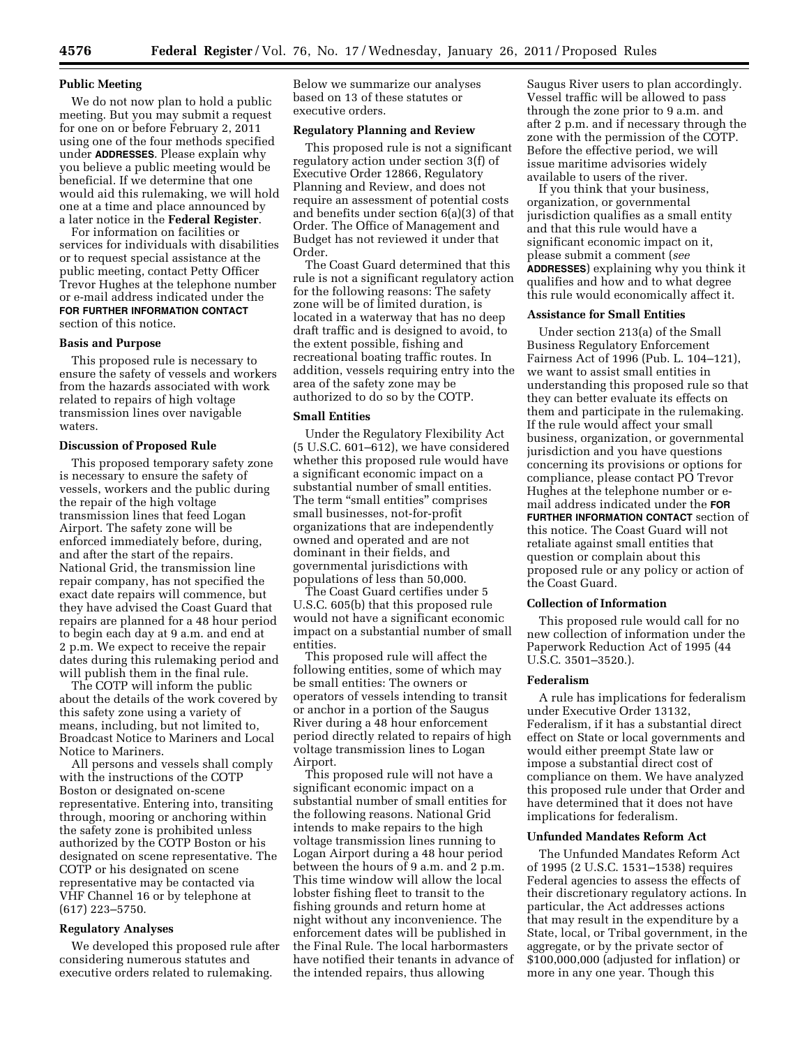### **Public Meeting**

We do not now plan to hold a public meeting. But you may submit a request for one on or before February 2, 2011 using one of the four methods specified under **ADDRESSES**. Please explain why you believe a public meeting would be beneficial. If we determine that one would aid this rulemaking, we will hold one at a time and place announced by a later notice in the **Federal Register**.

For information on facilities or services for individuals with disabilities or to request special assistance at the public meeting, contact Petty Officer Trevor Hughes at the telephone number or e-mail address indicated under the **FOR FURTHER INFORMATION CONTACT** section of this notice.

### **Basis and Purpose**

This proposed rule is necessary to ensure the safety of vessels and workers from the hazards associated with work related to repairs of high voltage transmission lines over navigable waters.

#### **Discussion of Proposed Rule**

This proposed temporary safety zone is necessary to ensure the safety of vessels, workers and the public during the repair of the high voltage transmission lines that feed Logan Airport. The safety zone will be enforced immediately before, during, and after the start of the repairs. National Grid, the transmission line repair company, has not specified the exact date repairs will commence, but they have advised the Coast Guard that repairs are planned for a 48 hour period to begin each day at 9 a.m. and end at 2 p.m. We expect to receive the repair dates during this rulemaking period and will publish them in the final rule.

The COTP will inform the public about the details of the work covered by this safety zone using a variety of means, including, but not limited to, Broadcast Notice to Mariners and Local Notice to Mariners.

All persons and vessels shall comply with the instructions of the COTP Boston or designated on-scene representative. Entering into, transiting through, mooring or anchoring within the safety zone is prohibited unless authorized by the COTP Boston or his designated on scene representative. The COTP or his designated on scene representative may be contacted via VHF Channel 16 or by telephone at (617) 223–5750.

### **Regulatory Analyses**

We developed this proposed rule after considering numerous statutes and executive orders related to rulemaking.

Below we summarize our analyses based on 13 of these statutes or executive orders.

# **Regulatory Planning and Review**

This proposed rule is not a significant regulatory action under section 3(f) of Executive Order 12866, Regulatory Planning and Review, and does not require an assessment of potential costs and benefits under section 6(a)(3) of that Order. The Office of Management and Budget has not reviewed it under that Order.

The Coast Guard determined that this rule is not a significant regulatory action for the following reasons: The safety zone will be of limited duration, is located in a waterway that has no deep draft traffic and is designed to avoid, to the extent possible, fishing and recreational boating traffic routes. In addition, vessels requiring entry into the area of the safety zone may be authorized to do so by the COTP.

### **Small Entities**

Under the Regulatory Flexibility Act (5 U.S.C. 601–612), we have considered whether this proposed rule would have a significant economic impact on a substantial number of small entities. The term "small entities" comprises small businesses, not-for-profit organizations that are independently owned and operated and are not dominant in their fields, and governmental jurisdictions with populations of less than 50,000.

The Coast Guard certifies under 5 U.S.C. 605(b) that this proposed rule would not have a significant economic impact on a substantial number of small entities.

This proposed rule will affect the following entities, some of which may be small entities: The owners or operators of vessels intending to transit or anchor in a portion of the Saugus River during a 48 hour enforcement period directly related to repairs of high voltage transmission lines to Logan Airport.

This proposed rule will not have a significant economic impact on a substantial number of small entities for the following reasons. National Grid intends to make repairs to the high voltage transmission lines running to Logan Airport during a 48 hour period between the hours of 9 a.m. and 2 p.m. This time window will allow the local lobster fishing fleet to transit to the fishing grounds and return home at night without any inconvenience. The enforcement dates will be published in the Final Rule. The local harbormasters have notified their tenants in advance of the intended repairs, thus allowing

Saugus River users to plan accordingly. Vessel traffic will be allowed to pass through the zone prior to 9 a.m. and after 2 p.m. and if necessary through the zone with the permission of the COTP. Before the effective period, we will issue maritime advisories widely available to users of the river.

If you think that your business, organization, or governmental jurisdiction qualifies as a small entity and that this rule would have a significant economic impact on it, please submit a comment (*see*  **ADDRESSES**) explaining why you think it qualifies and how and to what degree this rule would economically affect it.

#### **Assistance for Small Entities**

Under section 213(a) of the Small Business Regulatory Enforcement Fairness Act of 1996 (Pub. L. 104–121), we want to assist small entities in understanding this proposed rule so that they can better evaluate its effects on them and participate in the rulemaking. If the rule would affect your small business, organization, or governmental jurisdiction and you have questions concerning its provisions or options for compliance, please contact PO Trevor Hughes at the telephone number or email address indicated under the **FOR FURTHER INFORMATION CONTACT** section of this notice. The Coast Guard will not retaliate against small entities that question or complain about this proposed rule or any policy or action of the Coast Guard.

#### **Collection of Information**

This proposed rule would call for no new collection of information under the Paperwork Reduction Act of 1995 (44 U.S.C. 3501–3520.).

### **Federalism**

A rule has implications for federalism under Executive Order 13132, Federalism, if it has a substantial direct effect on State or local governments and would either preempt State law or impose a substantial direct cost of compliance on them. We have analyzed this proposed rule under that Order and have determined that it does not have implications for federalism.

#### **Unfunded Mandates Reform Act**

The Unfunded Mandates Reform Act of 1995 (2 U.S.C. 1531–1538) requires Federal agencies to assess the effects of their discretionary regulatory actions. In particular, the Act addresses actions that may result in the expenditure by a State, local, or Tribal government, in the aggregate, or by the private sector of \$100,000,000 (adjusted for inflation) or more in any one year. Though this